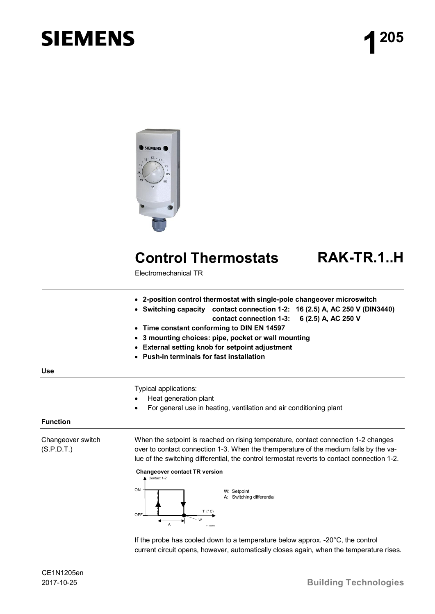# **SIEMENS**



## **Control Thermostats RAK-TR.1..H**

Electromechanical TR

- x **2-position control thermostat with single-pole changeover microswitch**
- x **Switching capacity contact connection 1-2: 16 (2.5) A, AC 250 V (DIN3440) contact connection 1-3: 6 (2.5) A, AC 250 V**
- x **Time constant conforming to DIN EN 14597**
- x **3 mounting choices: pipe, pocket or wall mounting**
- x **External setting knob for setpoint adjustment**
- x **Push-in terminals for fast installation**

**Use**

Typical applications:

- Heat generation plant
- For general use in heating, ventilation and air conditioning plant

### **Function**

Changeover switch (S.P.D.T.)

When the setpoint is reached on rising temperature, contact connection 1-2 changes over to contact connection 1-3. When the themperature of the medium falls by the value of the switching differential, the control termostat reverts to contact connection 1-2.



If the probe has cooled down to a temperature below approx. -20°C, the control current circuit opens, however, automatically closes again, when the temperature rises.

CE1N1205en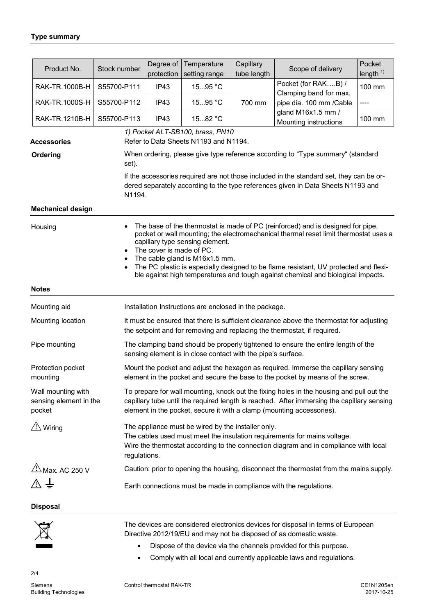|                                                        | Product No.                                                                                                                                                                                                                                                                                                                                                                                                                                                                                                         | Stock number | Degree of<br>protection                                                                                                                                                                                                                                         | Temperature<br>setting range                           | Capillary<br>tube length | Scope of delivery                                                                                                                                                           | Pocket<br>length $1)$ |  |  |
|--------------------------------------------------------|---------------------------------------------------------------------------------------------------------------------------------------------------------------------------------------------------------------------------------------------------------------------------------------------------------------------------------------------------------------------------------------------------------------------------------------------------------------------------------------------------------------------|--------------|-----------------------------------------------------------------------------------------------------------------------------------------------------------------------------------------------------------------------------------------------------------------|--------------------------------------------------------|--------------------------|-----------------------------------------------------------------------------------------------------------------------------------------------------------------------------|-----------------------|--|--|
|                                                        | RAK-TR.1000B-H                                                                                                                                                                                                                                                                                                                                                                                                                                                                                                      | S55700-P111  | IP43                                                                                                                                                                                                                                                            | 1595 °C                                                |                          | Pocket (for RAKB) /<br>Clamping band for max.                                                                                                                               | 100 mm                |  |  |
|                                                        | RAK-TR.1000S-H                                                                                                                                                                                                                                                                                                                                                                                                                                                                                                      | S55700-P112  | IP43                                                                                                                                                                                                                                                            | 1595 °C                                                | 700 mm                   | pipe dia. 100 mm /Cable                                                                                                                                                     |                       |  |  |
|                                                        | RAK-TR.1210B-H                                                                                                                                                                                                                                                                                                                                                                                                                                                                                                      | S55700-P113  | IP43                                                                                                                                                                                                                                                            | 1582 °C                                                |                          | gland M16x1.5 mm /<br>Mounting instructions                                                                                                                                 | 100 mm                |  |  |
|                                                        |                                                                                                                                                                                                                                                                                                                                                                                                                                                                                                                     |              |                                                                                                                                                                                                                                                                 | 1) Pocket ALT-SB100, brass, PN10                       |                          |                                                                                                                                                                             |                       |  |  |
| <b>Accessories</b><br>Ordering                         |                                                                                                                                                                                                                                                                                                                                                                                                                                                                                                                     |              | Refer to Data Sheets N1193 and N1194.<br>When ordering, please give type reference according to "Type summary" (standard                                                                                                                                        |                                                        |                          |                                                                                                                                                                             |                       |  |  |
|                                                        |                                                                                                                                                                                                                                                                                                                                                                                                                                                                                                                     | set).        |                                                                                                                                                                                                                                                                 |                                                        |                          |                                                                                                                                                                             |                       |  |  |
|                                                        |                                                                                                                                                                                                                                                                                                                                                                                                                                                                                                                     | N1194.       |                                                                                                                                                                                                                                                                 |                                                        |                          | If the accessories required are not those included in the standard set, they can be or-<br>dered separately according to the type references given in Data Sheets N1193 and |                       |  |  |
| <b>Mechanical design</b>                               |                                                                                                                                                                                                                                                                                                                                                                                                                                                                                                                     |              |                                                                                                                                                                                                                                                                 |                                                        |                          |                                                                                                                                                                             |                       |  |  |
|                                                        | The base of the thermostat is made of PC (reinforced) and is designed for pipe,<br>$\bullet$<br>Housing<br>pocket or wall mounting; the electromechanical thermal reset limit thermostat uses a<br>capillary type sensing element.<br>The cover is made of PC.<br>$\bullet$<br>The cable gland is M16x1.5 mm.<br>$\bullet$<br>The PC plastic is especially designed to be flame resistant, UV protected and flexi-<br>$\bullet$<br>ble against high temperatures and tough against chemical and biological impacts. |              |                                                                                                                                                                                                                                                                 |                                                        |                          |                                                                                                                                                                             |                       |  |  |
|                                                        | <b>Notes</b>                                                                                                                                                                                                                                                                                                                                                                                                                                                                                                        |              |                                                                                                                                                                                                                                                                 |                                                        |                          |                                                                                                                                                                             |                       |  |  |
|                                                        | Mounting aid                                                                                                                                                                                                                                                                                                                                                                                                                                                                                                        |              |                                                                                                                                                                                                                                                                 | Installation Instructions are enclosed in the package. |                          |                                                                                                                                                                             |                       |  |  |
| Mounting location                                      |                                                                                                                                                                                                                                                                                                                                                                                                                                                                                                                     |              | It must be ensured that there is sufficient clearance above the thermostat for adjusting<br>the setpoint and for removing and replacing the thermostat, if required.                                                                                            |                                                        |                          |                                                                                                                                                                             |                       |  |  |
| Pipe mounting                                          |                                                                                                                                                                                                                                                                                                                                                                                                                                                                                                                     |              | The clamping band should be properly tightened to ensure the entire length of the<br>sensing element is in close contact with the pipe's surface.                                                                                                               |                                                        |                          |                                                                                                                                                                             |                       |  |  |
| Protection pocket<br>mounting                          |                                                                                                                                                                                                                                                                                                                                                                                                                                                                                                                     |              | Mount the pocket and adjust the hexagon as required. Immerse the capillary sensing<br>element in the pocket and secure the base to the pocket by means of the screw.                                                                                            |                                                        |                          |                                                                                                                                                                             |                       |  |  |
| Wall mounting with<br>sensing element in the<br>pocket |                                                                                                                                                                                                                                                                                                                                                                                                                                                                                                                     |              | To prepare for wall mounting, knock out the fixing holes in the housing and pull out the<br>capillary tube until the required length is reached. After immersing the capillary sensing<br>element in the pocket, secure it with a clamp (mounting accessories). |                                                        |                          |                                                                                                                                                                             |                       |  |  |
| $\overline{\triangle}$ Wiring                          |                                                                                                                                                                                                                                                                                                                                                                                                                                                                                                                     |              | The appliance must be wired by the installer only.<br>The cables used must meet the insulation requirements for mains voltage.<br>Wire the thermostat according to the connection diagram and in compliance with local<br>regulations.                          |                                                        |                          |                                                                                                                                                                             |                       |  |  |
|                                                        | $\frac{\sqrt{1}}{2}$ Max. AC 250 V                                                                                                                                                                                                                                                                                                                                                                                                                                                                                  |              |                                                                                                                                                                                                                                                                 |                                                        |                          | Caution: prior to opening the housing, disconnect the thermostat from the mains supply.                                                                                     |                       |  |  |
|                                                        |                                                                                                                                                                                                                                                                                                                                                                                                                                                                                                                     |              | Earth connections must be made in compliance with the regulations.                                                                                                                                                                                              |                                                        |                          |                                                                                                                                                                             |                       |  |  |
|                                                        | <b>Disposal</b>                                                                                                                                                                                                                                                                                                                                                                                                                                                                                                     |              |                                                                                                                                                                                                                                                                 |                                                        |                          |                                                                                                                                                                             |                       |  |  |
|                                                        |                                                                                                                                                                                                                                                                                                                                                                                                                                                                                                                     |              |                                                                                                                                                                                                                                                                 |                                                        |                          | The devices are considered electronics devices for disposal in terms of European<br>Directive 2012/19/EU and may not be disposed of as domestic waste.                      |                       |  |  |
|                                                        |                                                                                                                                                                                                                                                                                                                                                                                                                                                                                                                     |              |                                                                                                                                                                                                                                                                 |                                                        |                          | Dispose of the device via the ebennels provided for this purpose                                                                                                            |                       |  |  |

- Dispose of the device via the channels provided for this purpose.
- Comply with all local and currently applicable laws and regulations.

2/4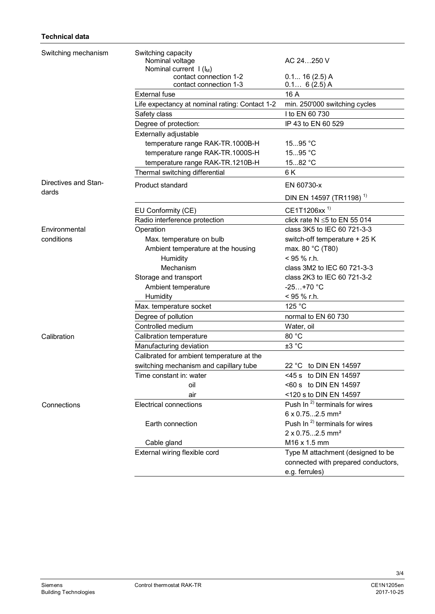| Switching mechanism  | Switching capacity                             |                                           |  |
|----------------------|------------------------------------------------|-------------------------------------------|--|
|                      | Nominal voltage                                | AC 24250 V                                |  |
|                      | Nominal current $I(l_M)$                       |                                           |  |
|                      | contact connection 1-2                         | 0.1 16 (2.5) A                            |  |
|                      | contact connection 1-3                         | $0.1 6(2.5)$ A                            |  |
|                      | <b>External fuse</b>                           | 16 A                                      |  |
|                      | Life expectancy at nominal rating: Contact 1-2 | min. 250'000 switching cycles             |  |
|                      | Safety class                                   | I to EN 60 730                            |  |
|                      | Degree of protection:                          | IP 43 to EN 60 529                        |  |
|                      | Externally adjustable                          |                                           |  |
|                      | temperature range RAK-TR.1000B-H               | 1595 °C                                   |  |
|                      | temperature range RAK-TR.1000S-H               | 1595 °C                                   |  |
|                      | temperature range RAK-TR.1210B-H               | 1582 °C                                   |  |
|                      | Thermal switching differential                 | 6 K                                       |  |
| Directives and Stan- | Product standard                               | EN 60730-x                                |  |
| dards                |                                                | DIN EN 14597 (TR1198) <sup>1)</sup>       |  |
|                      | EU Conformity (CE)                             | CE1T1206xx <sup>1)</sup>                  |  |
|                      | Radio interference protection                  | click rate $N \le 5$ to EN 55 014         |  |
| Environmental        | Operation                                      | class 3K5 to IEC 60 721-3-3               |  |
| conditions           | Max. temperature on bulb                       | switch-off temperature + 25 K             |  |
|                      | Ambient temperature at the housing             | max. 80 °C (T80)                          |  |
|                      | Humidity                                       | $<$ 95 % r.h.                             |  |
|                      | Mechanism                                      | class 3M2 to IEC 60 721-3-3               |  |
|                      | Storage and transport                          | class 2K3 to IEC 60 721-3-2               |  |
|                      | Ambient temperature                            | $-25+70 °C$                               |  |
|                      | Humidity                                       | < 95 % r.h.                               |  |
|                      | Max. temperature socket                        | 125 °C                                    |  |
|                      | Degree of pollution                            | normal to EN 60 730                       |  |
|                      | Controlled medium                              | Water, oil                                |  |
| Calibration          | Calibration temperature                        | 80 °C                                     |  |
|                      | Manufacturing deviation                        | ±3 °C                                     |  |
|                      | Calibrated for ambient temperature at the      |                                           |  |
|                      | switching mechanism and capillary tube         | 22 °C to DIN EN 14597                     |  |
|                      | Time constant in: water                        | <45 s to DIN EN 14597                     |  |
|                      | oil                                            | <60 s to DIN EN 14597                     |  |
|                      | air                                            | <120 s to DIN EN 14597                    |  |
| Connections          | <b>Electrical connections</b>                  | Push In $^{2)}$ terminals for wires       |  |
|                      |                                                | $6 \times 0.752.5$ mm <sup>2</sup>        |  |
|                      | Earth connection                               | Push In <sup>2)</sup> terminals for wires |  |
|                      |                                                | 2 x 0.752.5 mm <sup>2</sup>               |  |
|                      | Cable gland                                    | M16 x 1.5 mm                              |  |
|                      | External wiring flexible cord                  | Type M attachment (designed to be         |  |
|                      |                                                | connected with prepared conductors,       |  |
|                      |                                                | e.g. ferrules)                            |  |

3/4